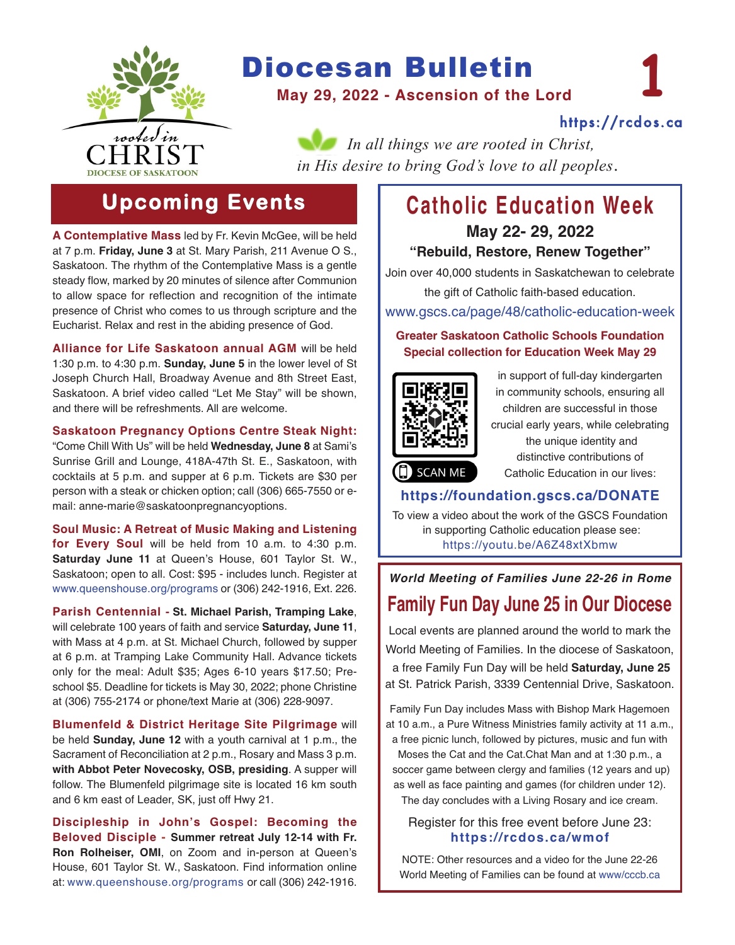

# Diocesan Bulletin

**May 29, 2022 - Ascension of the Lord**

[https://rcdos.ca](https://rcdos.ca/)

**1**

*In all things we are rooted in Christ, in His desire to bring God's love to all peoples*.

# **Upcoming Events**

**A Contemplative Mass** led by Fr. Kevin McGee, will be held at 7 p.m. **Friday, June 3** at St. Mary Parish, 211 Avenue O S., Saskatoon. The rhythm of the Contemplative Mass is a gentle steady flow, marked by 20 minutes of silence after Communion to allow space for reflection and recognition of the intimate presence of Christ who comes to us through scripture and the Eucharist. Relax and rest in the abiding presence of God.

**Alliance for Life Saskatoon annual AGM** will be held 1:30 p.m. to 4:30 p.m. **Sunday, June 5** in the lower level of St Joseph Church Hall, Broadway Avenue and 8th Street East, Saskatoon. A brief video called "Let Me Stay" will be shown, and there will be refreshments. All are welcome.

#### **Saskatoon Pregnancy Options Centre Steak Night:**

"Come Chill With Us" will be held **Wednesday, June 8** at Sami's Sunrise Grill and Lounge, 418A-47th St. E., Saskatoon, with cocktails at 5 p.m. and supper at 6 p.m. Tickets are \$30 per person with a steak or chicken option; call (306) 665-7550 or email: anne-marie@saskatoonpregnancyoptions.

**Soul Music: A Retreat of Music Making and Listening for Every Soul** will be held from 10 a.m. to 4:30 p.m. **Saturday June 11** at Queen's House, 601 Taylor St. W., Saskatoon; open to all. Cost: \$95 - includes lunch. Register at [www.queenshouse.org/programs](https://www.queenshouse.org/programs/ ) or (306) 242-1916, Ext. 226.

**Parish Centennial - St. Michael Parish, Tramping Lake**, will celebrate 100 years of faith and service **Saturday, June 11**, with Mass at 4 p.m. at St. Michael Church, followed by supper at 6 p.m. at Tramping Lake Community Hall. Advance tickets only for the meal: Adult \$35; Ages 6-10 years \$17.50; Preschool \$5. Deadline for tickets is May 30, 2022; phone Christine at (306) 755-2174 or phone/text Marie at (306) 228-9097.

**Blumenfeld & District Heritage Site Pilgrimage** will be held **Sunday, June 12** with a youth carnival at 1 p.m., the Sacrament of Reconciliation at 2 p.m., Rosary and Mass 3 p.m. **with Abbot Peter Novecosky, OSB, presiding**. A supper will follow. The Blumenfeld pilgrimage site is located 16 km south and 6 km east of Leader, SK, just off Hwy 21.

**Discipleship in John's Gospel: Becoming the Beloved Disciple - Summer retreat July 12-14 with Fr. Ron Rolheiser, OMI**, on Zoom and in-person at Queen's House, 601 Taylor St. W., Saskatoon. Find information online at: [www.queenshouse.org/programs](https://www.queenshouse.org/programs/) or call (306) 242-1916.

# **Catholic Education Week May 22- 29, 2022**

#### **"Rebuild, Restore, Renew Together"**

Join over 40,000 students in Saskatchewan to celebrate the gift of Catholic faith-based education.

[www.gscs.ca/page/48/catholic-education-week](https://www.gscs.ca/page/48/catholic-education-week)

#### **Greater Saskatoon Catholic Schools Foundation Special collection for Education Week May 29**



in support of full-day kindergarten in community schools, ensuring all children are successful in those crucial early years, while celebrating the unique identity and distinctive contributions of Catholic Education in our lives:

### **<https://foundation.gscs.ca/DONATE>**

To view a video about the work of the GSCS Foundation in supporting Catholic education please see: [https://youtu.be/A6Z48xtXbmw](https://youtu.be/A6Z48xtXbmw )

## *World Meeting of Families June 22-26 in Rome* **Family Fun Day June 25 in Our Diocese**

Local events are planned around the world to mark the World Meeting of Families. In the diocese of Saskatoon, a free Family Fun Day will be held **Saturday, June 25** at St. Patrick Parish, 3339 Centennial Drive, Saskatoon.

Family Fun Day includes Mass with Bishop Mark Hagemoen at 10 a.m., a Pure Witness Ministries family activity at 11 a.m., a free picnic lunch, followed by pictures, music and fun with

Moses the Cat and the Cat.Chat Man and at 1:30 p.m., a soccer game between clergy and families (12 years and up) as well as face painting and games (for children under 12). The day concludes with a Living Rosary and ice cream.

Register for this free event before June 23:

## **<https://rcdos.ca/wmof>**

NOTE: Other resources and a video for the June 22-26 World Meeting of Families can be found at [www/cccb.ca](https://www.cccb.ca/faith-moral-issues/family-and-life/celebrating-the-amoris-laetitia-family-year/what-are-the-plans-for-the-10th-world-meeting-of-families/)